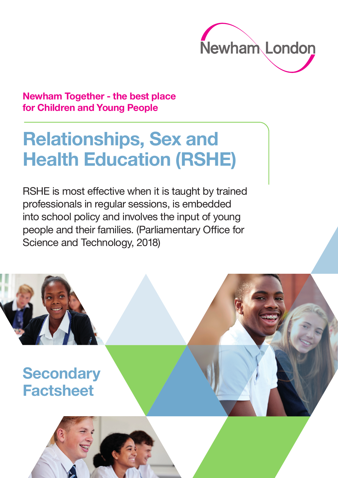

### **Newham Together - the best place for Children and Young People**

# **Relationships, Sex and Health Education (RSHE)**

RSHE is most effective when it is taught by trained professionals in regular sessions, is embedded into school policy and involves the input of young people and their families. (Parliamentary Office for Science and Technology, 2018)

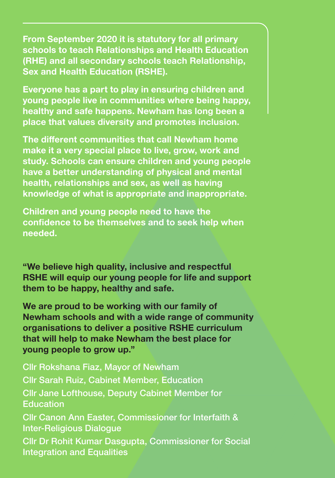**From September 2020 it is statutory for all primary schools to teach Relationships and Health Education (RHE) and all secondary schools teach Relationship, Sex and Health Education (RSHE).** 

**Everyone has a part to play in ensuring children and young people live in communities where being happy, healthy and safe happens. Newham has long been a place that values diversity and promotes inclusion.**

**The different communities that call Newham home make it a very special place to live, grow, work and study. Schools can ensure children and young people have a better understanding of physical and mental health, relationships and sex, as well as having knowledge of what is appropriate and inappropriate.**

**Children and young people need to have the confidence to be themselves and to seek help when needed.**

**"We believe high quality, inclusive and respectful RSHE will equip our young people for life and support them to be happy, healthy and safe.** 

**We are proud to be working with our family of Newham schools and with a wide range of community organisations to deliver a positive RSHE curriculum that will help to make Newham the best place for young people to grow up."**

Cllr Rokshana Fiaz, Mayor of Newham Cllr Sarah Ruiz, Cabinet Member, Education Cllr Jane Lofthouse, Deputy Cabinet Member for **Education** Cllr Canon Ann Easter, Commissioner for Interfaith & Inter-Religious Dialogue Cllr Dr Rohit Kumar Dasgupta, Commissioner for Social Integration and Equalities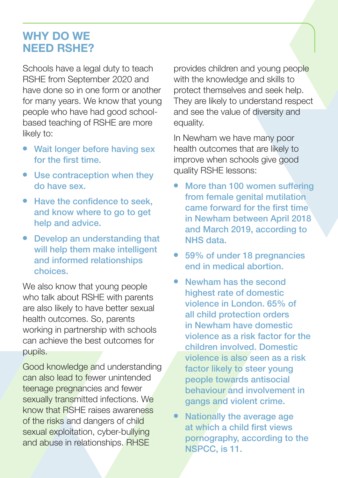## **WHY DO WE NEED RSHE?**

Schools have a legal duty to teach RSHE from September 2020 and have done so in one form or another for many years. We know that young people who have had good schoolbased teaching of RSHE are more likely to:

- Wait longer before having sex for the first time.
- Use contraception when they do have sex.
- Have the confidence to seek, and know where to go to get help and advice.
- Develop an understanding that will help them make intelligent and informed relationships choices.

We also know that young people who talk about RSHE with parents are also likely to have better sexual health outcomes. So, parents working in partnership with schools can achieve the best outcomes for pupils.

Good knowledge and understanding can also lead to fewer unintended teenage pregnancies and fewer sexually transmitted infections. We know that RSHE raises awareness of the risks and dangers of child sexual exploitation, cyber-bullying and abuse in relationships. RHSE

provides children and young people with the knowledge and skills to protect themselves and seek help. They are likely to understand respect and see the value of diversity and equality.

In Newham we have many poor health outcomes that are likely to improve when schools give good quality RSHE lessons:

- More than 100 women suffering from female genital mutilation came forward for the first time in Newham between April 2018 and March 2019, according to NHS data.
- 59% of under 18 pregnancies end in medical abortion.
- <sup>l</sup> Newham has the second highest rate of domestic violence in London. 65% of all child protection orders in Newham have domestic violence as a risk factor for the children involved. Domestic violence is also seen as a risk factor likely to steer young people towards antisocial behaviour and involvement in gangs and violent crime.
- Nationally the average age at which a child first views pornography, according to the NSPCC, is 11.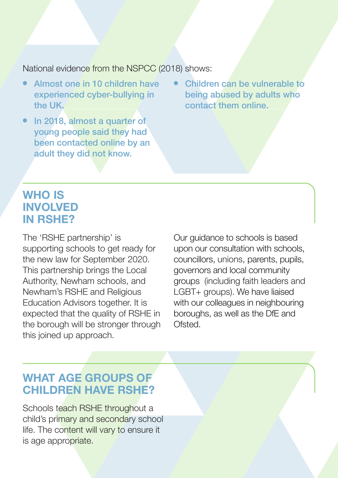National evidence from the NSPCC (2018) shows:

- Almost one in 10 children have experienced cyber-bullying in the UK.
- $\bullet$  In 2018, almost a quarter of young people said they had been contacted online by an adult they did not know.
- Children can be vulnerable to being abused by adults who contact them online.

## **WHO IS INVOLVED IN RSHE?**

The 'RSHE partnership' is supporting schools to get ready for the new law for September 2020. This partnership brings the Local Authority, Newham schools, and Newham's RSHE and Religious Education Advisors together. It is expected that the quality of RSHE in the borough will be stronger through this joined up approach.

Our guidance to schools is based upon our consultation with schools, councillors, unions, parents, pupils, governors and local community groups (including faith leaders and LGBT+ groups). We have liaised with our colleagues in neighbouring boroughs, as well as the DfE and Ofsted.

# **WHAT AGE GROUPS OF CHILDREN HAVE RSHE?**

Schools teach RSHE throughout a child's primary and secondary school life. The content will vary to ensure it is age appropriate.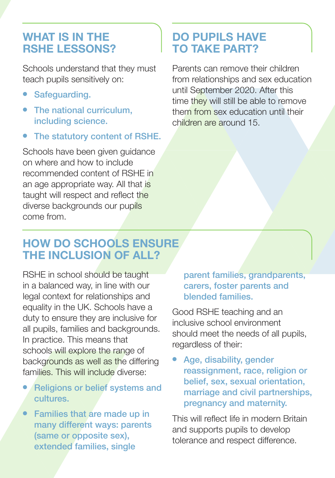## **WHAT IS IN THE RSHE LESSONS?**

Schools understand that they must teach pupils sensitively on:

- **•** Safeguarding.
- The national curriculum. including science.
- The statutory content of RSHE.

Schools have been given guidance on where and how to include recommended content of RSHE in an age appropriate way. All that is taught will respect and reflect the diverse backgrounds our pupils come from.

# **DO PUPILS HAVE TO TAKE PART?**

Parents can remove their children from relationships and sex education until September 2020. After this time they will still be able to remove them from sex education until their children are around 15.

# **HOW DO SCHOOLS ENSURE THE INCLUSION OF ALL?**

RSHE in school should be taught in a balanced way, in line with our legal context for relationships and equality in the UK. Schools have a duty to ensure they are inclusive for all pupils, families and backgrounds. In practice. This means that schools will explore the range of backgrounds as well as the differing families. This will include diverse:

- Religions or belief systems and cultures.
- Families that are made up in many different ways: parents (same or opposite sex), extended families, single

parent families, grandparents, carers, foster parents and blended families.

Good RSHE teaching and an inclusive school environment should meet the needs of all pupils, regardless of their:

Age, disability, gender reassignment, race, religion or belief, sex, sexual orientation, marriage and civil partnerships, pregnancy and maternity.

This will reflect life in modern Britain and supports pupils to develop tolerance and respect difference.